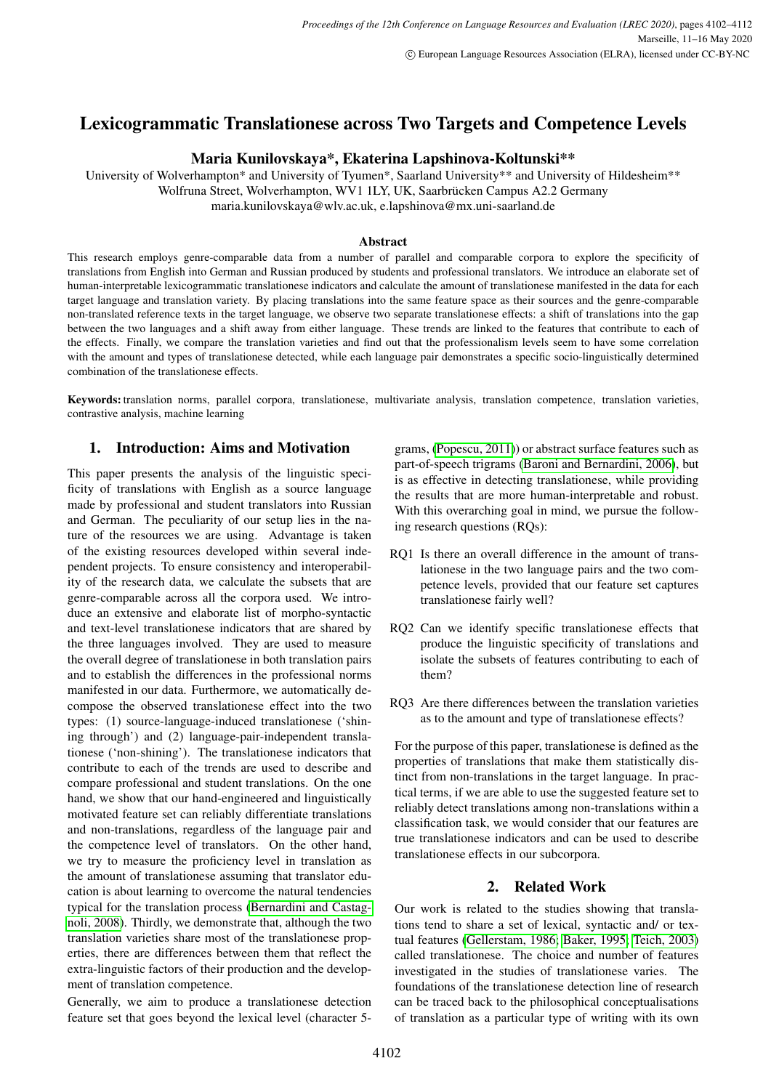# Lexicogrammatic Translationese across Two Targets and Competence Levels

## Maria Kunilovskaya\*, Ekaterina Lapshinova-Koltunski\*\*

University of Wolverhampton\* and University of Tyumen\*, Saarland University\*\* and University of Hildesheim\*\* Wolfruna Street, Wolverhampton, WV1 1LY, UK, Saarbrücken Campus A2.2 Germany maria.kunilovskaya@wlv.ac.uk, e.lapshinova@mx.uni-saarland.de

#### Abstract

This research employs genre-comparable data from a number of parallel and comparable corpora to explore the specificity of translations from English into German and Russian produced by students and professional translators. We introduce an elaborate set of human-interpretable lexicogrammatic translationese indicators and calculate the amount of translationese manifested in the data for each target language and translation variety. By placing translations into the same feature space as their sources and the genre-comparable non-translated reference texts in the target language, we observe two separate translationese effects: a shift of translations into the gap between the two languages and a shift away from either language. These trends are linked to the features that contribute to each of the effects. Finally, we compare the translation varieties and find out that the professionalism levels seem to have some correlation with the amount and types of translationese detected, while each language pair demonstrates a specific socio-linguistically determined combination of the translationese effects.

Keywords: translation norms, parallel corpora, translationese, multivariate analysis, translation competence, translation varieties, contrastive analysis, machine learning

# 1. Introduction: Aims and Motivation

This paper presents the analysis of the linguistic specificity of translations with English as a source language made by professional and student translators into Russian and German. The peculiarity of our setup lies in the nature of the resources we are using. Advantage is taken of the existing resources developed within several independent projects. To ensure consistency and interoperability of the research data, we calculate the subsets that are genre-comparable across all the corpora used. We introduce an extensive and elaborate list of morpho-syntactic and text-level translationese indicators that are shared by the three languages involved. They are used to measure the overall degree of translationese in both translation pairs and to establish the differences in the professional norms manifested in our data. Furthermore, we automatically decompose the observed translationese effect into the two types: (1) source-language-induced translationese ('shining through') and (2) language-pair-independent translationese ('non-shining'). The translationese indicators that contribute to each of the trends are used to describe and compare professional and student translations. On the one hand, we show that our hand-engineered and linguistically motivated feature set can reliably differentiate translations and non-translations, regardless of the language pair and the competence level of translators. On the other hand, we try to measure the proficiency level in translation as the amount of translationese assuming that translator education is about learning to overcome the natural tendencies typical for the translation process [\(Bernardini and Castag](#page-8-0)[noli, 2008\)](#page-8-0). Thirdly, we demonstrate that, although the two translation varieties share most of the translationese properties, there are differences between them that reflect the extra-linguistic factors of their production and the development of translation competence.

Generally, we aim to produce a translationese detection feature set that goes beyond the lexical level (character 5-

grams, [\(Popescu, 2011\)](#page-9-0)) or abstract surface features such as part-of-speech trigrams [\(Baroni and Bernardini, 2006\)](#page-8-1), but is as effective in detecting translationese, while providing the results that are more human-interpretable and robust. With this overarching goal in mind, we pursue the following research questions (RQs):

- RQ1 Is there an overall difference in the amount of translationese in the two language pairs and the two competence levels, provided that our feature set captures translationese fairly well?
- RQ2 Can we identify specific translationese effects that produce the linguistic specificity of translations and isolate the subsets of features contributing to each of them?
- RQ3 Are there differences between the translation varieties as to the amount and type of translationese effects?

For the purpose of this paper, translationese is defined as the properties of translations that make them statistically distinct from non-translations in the target language. In practical terms, if we are able to use the suggested feature set to reliably detect translations among non-translations within a classification task, we would consider that our features are true translationese indicators and can be used to describe translationese effects in our subcorpora.

### 2. Related Work

Our work is related to the studies showing that translations tend to share a set of lexical, syntactic and/ or textual features [\(Gellerstam, 1986;](#page-9-1) [Baker, 1995;](#page-8-2) [Teich, 2003\)](#page-9-2) called translationese. The choice and number of features investigated in the studies of translationese varies. The foundations of the translationese detection line of research can be traced back to the philosophical conceptualisations of translation as a particular type of writing with its own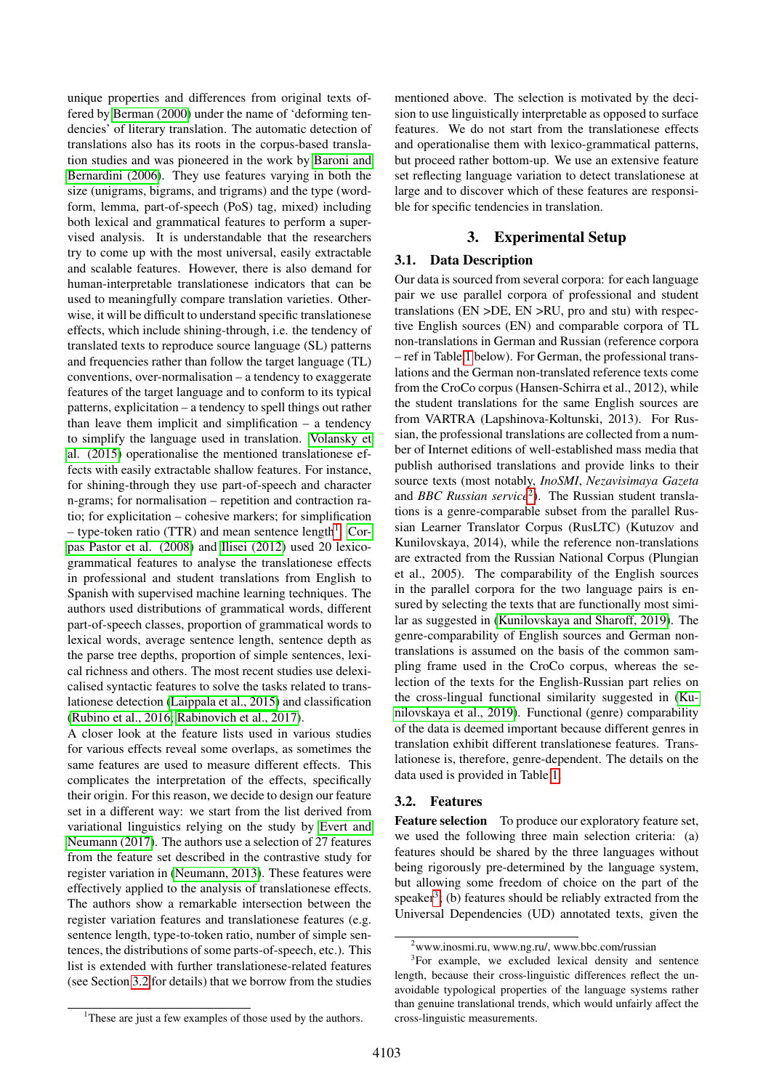unique properties and differences from original texts offered by [Berman \(2000\)](#page-8-3) under the name of 'deforming tendencies' of literary translation. The automatic detection of translations also has its roots in the corpus-based translation studies and was pioneered in the work by [Baroni and](#page-8-1) [Bernardini \(2006\)](#page-8-1). They use features varying in both the size (unigrams, bigrams, and trigrams) and the type (wordform, lemma, part-of-speech (PoS) tag, mixed) including both lexical and grammatical features to perform a supervised analysis. It is understandable that the researchers try to come up with the most universal, easily extractable and scalable features. However, there is also demand for human-interpretable translationese indicators that can be used to meaningfully compare translation varieties. Otherwise, it will be difficult to understand specific translationese effects, which include shining-through, i.e. the tendency of translated texts to reproduce source language (SL) patterns and frequencies rather than follow the target language (TL) conventions, over-normalisation – a tendency to exaggerate features of the target language and to conform to its typical patterns, explicitation – a tendency to spell things out rather than leave them implicit and simplification – a tendency to simplify the language used in translation. [Volansky et](#page-9-3) [al. \(2015\)](#page-9-3) operationalise the mentioned translationese effects with easily extractable shallow features. For instance, for shining-through they use part-of-speech and character n-grams; for normalisation – repetition and contraction ratio; for explicitation – cohesive markers; for simplification  $-$  type-token ratio (TTR) and mean sentence length<sup>[1](#page-1-0)</sup>. [Cor](#page-9-4)[pas Pastor et al. \(2008\)](#page-9-4) and [Ilisei \(2012\)](#page-9-5) used 20 lexicogrammatical features to analyse the translationese effects in professional and student translations from English to Spanish with supervised machine learning techniques. The authors used distributions of grammatical words, different part-of-speech classes, proportion of grammatical words to lexical words, average sentence length, sentence depth as the parse tree depths, proportion of simple sentences, lexical richness and others. The most recent studies use delexicalised syntactic features to solve the tasks related to translationese detection [\(Laippala et al., 2015\)](#page-9-6) and classification [\(Rubino et al., 2016;](#page-9-7) [Rabinovich et al., 2017\)](#page-9-8).

A closer look at the feature lists used in various studies for various effects reveal some overlaps, as sometimes the same features are used to measure different effects. This complicates the interpretation of the effects, specifically their origin. For this reason, we decide to design our feature set in a different way: we start from the list derived from variational linguistics relying on the study by [Evert and](#page-9-9) [Neumann \(2017\)](#page-9-9). The authors use a selection of 27 features from the feature set described in the contrastive study for register variation in [\(Neumann, 2013\)](#page-9-10). These features were effectively applied to the analysis of translationese effects. The authors show a remarkable intersection between the register variation features and translationese features (e.g. sentence length, type-to-token ratio, number of simple sentences, the distributions of some parts-of-speech, etc.). This list is extended with further translationese-related features (see Section [3.2](#page-1-1) for details) that we borrow from the studies

mentioned above. The selection is motivated by the decision to use linguistically interpretable as opposed to surface features. We do not start from the translationese effects and operationalise them with lexico-grammatical patterns, but proceed rather bottom-up. We use an extensive feature set reflecting language variation to detect translationese at large and to discover which of these features are responsible for specific tendencies in translation.

# 3. Experimental Setup

## 3.1. Data Description

Our data is sourced from several corpora: for each language pair we use parallel corpora of professional and student translations (EN >DE, EN >RU, pro and stu) with respective English sources (EN) and comparable corpora of TL non-translations in German and Russian (reference corpora – ref in Table [1](#page-2-0) below). For German, the professional translations and the German non-translated reference texts come from the CroCo corpus (Hansen-Schirra et al., 2012), while the student translations for the same English sources are from VARTRA (Lapshinova-Koltunski, 2013). For Russian, the professional translations are collected from a number of Internet editions of well-established mass media that publish authorised translations and provide links to their source texts (most notably, *InoSMI*, *Nezavisimaya Gazeta* and *BBC Russian service*<sup>[2](#page-1-2)</sup>). The Russian student translations is a genre-comparable subset from the parallel Russian Learner Translator Corpus (RusLTC) (Kutuzov and Kunilovskaya, 2014), while the reference non-translations are extracted from the Russian National Corpus (Plungian et al., 2005). The comparability of the English sources in the parallel corpora for the two language pairs is ensured by selecting the texts that are functionally most similar as suggested in [\(Kunilovskaya and Sharoff, 2019\)](#page-9-11). The genre-comparability of English sources and German nontranslations is assumed on the basis of the common sampling frame used in the CroCo corpus, whereas the selection of the texts for the English-Russian part relies on the cross-lingual functional similarity suggested in [\(Ku](#page-9-12)[nilovskaya et al., 2019\)](#page-9-12). Functional (genre) comparability of the data is deemed important because different genres in translation exhibit different translationese features. Translationese is, therefore, genre-dependent. The details on the data used is provided in Table [1.](#page-2-0)

#### <span id="page-1-1"></span>3.2. Features

Feature selection To produce our exploratory feature set, we used the following three main selection criteria: (a) features should be shared by the three languages without being rigorously pre-determined by the language system, but allowing some freedom of choice on the part of the speaker<sup>[3](#page-1-3)</sup>; (b) features should be reliably extracted from the Universal Dependencies (UD) annotated texts, given the

<span id="page-1-3"></span><span id="page-1-2"></span><sup>2</sup>www.inosmi.ru, www.ng.ru/, www.bbc.com/russian

<sup>&</sup>lt;sup>3</sup>For example, we excluded lexical density and sentence length, because their cross-linguistic differences reflect the unavoidable typological properties of the language systems rather than genuine translational trends, which would unfairly affect the cross-linguistic measurements.

<span id="page-1-0"></span><sup>&</sup>lt;sup>1</sup>These are just a few examples of those used by the authors.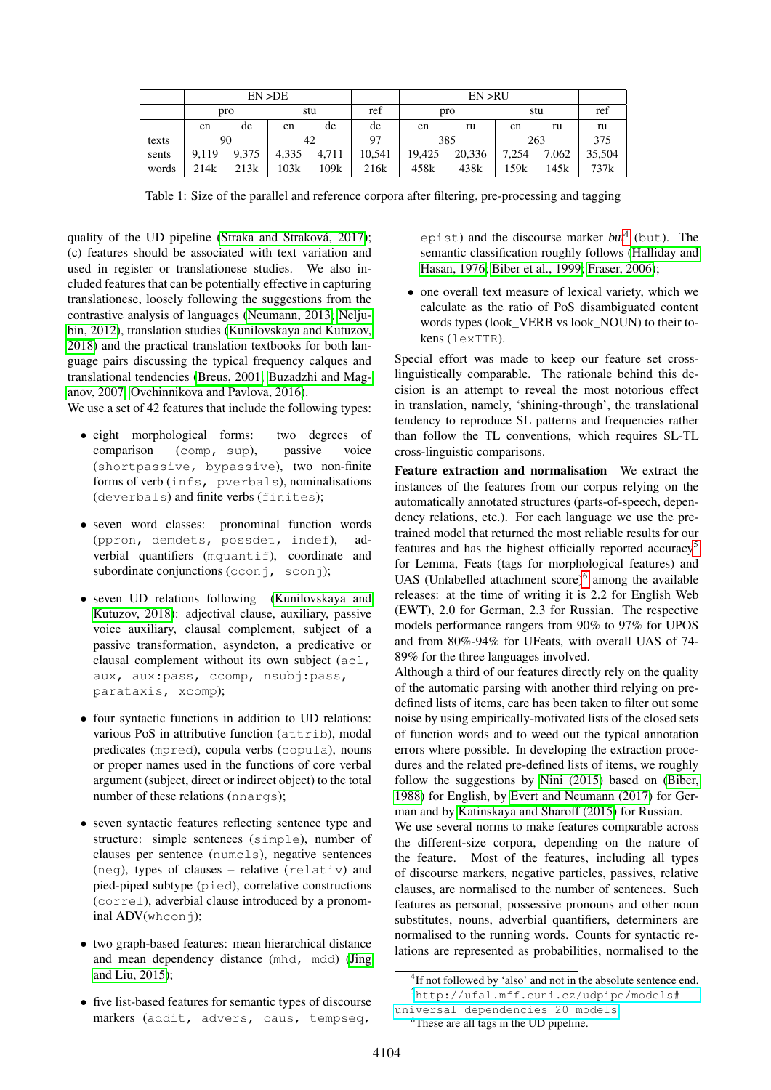|       | EN > DE |       |       |       | EN > RU |        |        |       |       |        |
|-------|---------|-------|-------|-------|---------|--------|--------|-------|-------|--------|
|       | pro     |       | stu   |       | ret     | pro    |        | stu   |       | ref    |
|       | en      | de    | en    | de    | de      | en     | ru     | en    | ru    | ru     |
| texts | 90      |       | 42    |       | 97      | 385    |        | 263   |       | 375    |
| sents | 9.119   | 9.375 | 4,335 | 4,711 | 10.541  | 19.425 | 20,336 | 7,254 | 7.062 | 35,504 |
| words | 214k    | 213k  | 103k  | 109k  | 216k    | 458k   | 438k   | 159k  | 145k  | 737k   |

<span id="page-2-0"></span>Table 1: Size of the parallel and reference corpora after filtering, pre-processing and tagging

quality of the UD pipeline [\(Straka and Straková, 2017\)](#page-9-13); (c) features should be associated with text variation and used in register or translationese studies. We also included features that can be potentially effective in capturing translationese, loosely following the suggestions from the contrastive analysis of languages [\(Neumann, 2013;](#page-9-10) [Nelju](#page-9-14)[bin, 2012\)](#page-9-14), translation studies [\(Kunilovskaya and Kutuzov,](#page-9-15) [2018\)](#page-9-15) and the practical translation textbooks for both language pairs discussing the typical frequency calques and translational tendencies [\(Breus, 2001;](#page-9-16) [Buzadzhi and Mag](#page-9-17)[anov, 2007;](#page-9-17) [Ovchinnikova and Pavlova, 2016\)](#page-9-18).

We use a set of 42 features that include the following types:

- eight morphological forms: two degrees of comparison (comp, sup), passive voice (shortpassive, bypassive), two non-finite forms of verb (infs, pverbals), nominalisations (deverbals) and finite verbs (finites);
- seven word classes: pronominal function words (ppron, demdets, possdet, indef), adverbial quantifiers (mquantif), coordinate and subordinate conjunctions (cconj, sconj);
- seven UD relations following [\(Kunilovskaya and](#page-9-15) [Kutuzov, 2018\)](#page-9-15): adjectival clause, auxiliary, passive voice auxiliary, clausal complement, subject of a passive transformation, asyndeton, a predicative or clausal complement without its own subject (acl, aux, aux:pass, ccomp, nsubj:pass, parataxis, xcomp);
- four syntactic functions in addition to UD relations: various PoS in attributive function (attrib), modal predicates (mpred), copula verbs (copula), nouns or proper names used in the functions of core verbal argument (subject, direct or indirect object) to the total number of these relations (nnargs);
- seven syntactic features reflecting sentence type and structure: simple sentences (simple), number of clauses per sentence (numcls), negative sentences (neg), types of clauses – relative (relativ) and pied-piped subtype (pied), correlative constructions (correl), adverbial clause introduced by a pronominal ADV(whconj);
- two graph-based features: mean hierarchical distance and mean dependency distance (mhd, mdd) [\(Jing](#page-9-19) [and Liu, 2015\)](#page-9-19);
- five list-based features for semantic types of discourse markers (addit, advers, caus, tempseq,

epist) and the discourse marker  $but^4$  $but^4$  (but). The semantic classification roughly follows [\(Halliday and](#page-9-20) [Hasan, 1976;](#page-9-20) [Biber et al., 1999;](#page-9-21) [Fraser, 2006\)](#page-9-22);

• one overall text measure of lexical variety, which we calculate as the ratio of PoS disambiguated content words types (look\_VERB vs look\_NOUN) to their tokens (lexTTR).

Special effort was made to keep our feature set crosslinguistically comparable. The rationale behind this decision is an attempt to reveal the most notorious effect in translation, namely, 'shining-through', the translational tendency to reproduce SL patterns and frequencies rather than follow the TL conventions, which requires SL-TL cross-linguistic comparisons.

Feature extraction and normalisation We extract the instances of the features from our corpus relying on the automatically annotated structures (parts-of-speech, dependency relations, etc.). For each language we use the pretrained model that returned the most reliable results for our features and has the highest officially reported accuracy[5](#page-2-2) for Lemma, Feats (tags for morphological features) and UAS (Unlabelled attachment score)<sup>[6](#page-2-3)</sup> among the available releases: at the time of writing it is 2.2 for English Web (EWT), 2.0 for German, 2.3 for Russian. The respective models performance rangers from 90% to 97% for UPOS and from 80%-94% for UFeats, with overall UAS of 74- 89% for the three languages involved.

Although a third of our features directly rely on the quality of the automatic parsing with another third relying on predefined lists of items, care has been taken to filter out some noise by using empirically-motivated lists of the closed sets of function words and to weed out the typical annotation errors where possible. In developing the extraction procedures and the related pre-defined lists of items, we roughly follow the suggestions by [Nini \(2015\)](#page-9-23) based on [\(Biber,](#page-9-24) [1988\)](#page-9-24) for English, by [Evert and Neumann \(2017\)](#page-9-9) for German and by [Katinskaya and Sharoff \(2015\)](#page-9-25) for Russian.

We use several norms to make features comparable across the different-size corpora, depending on the nature of the feature. Most of the features, including all types of discourse markers, negative particles, passives, relative clauses, are normalised to the number of sentences. Such features as personal, possessive pronouns and other noun substitutes, nouns, adverbial quantifiers, determiners are normalised to the running words. Counts for syntactic relations are represented as probabilities, normalised to the

<span id="page-2-2"></span><span id="page-2-1"></span><sup>&</sup>lt;sup>4</sup>If not followed by 'also' and not in the absolute sentence end. <sup>5</sup>[http://ufal.mff.cuni.cz/udpipe/models#](http://ufal.mff.cuni.cz/udpipe/models#universal_dependencies_20_models)

[universal\\_dependencies\\_20\\_models](http://ufal.mff.cuni.cz/udpipe/models#universal_dependencies_20_models)

<span id="page-2-3"></span><sup>6</sup>These are all tags in the UD pipeline.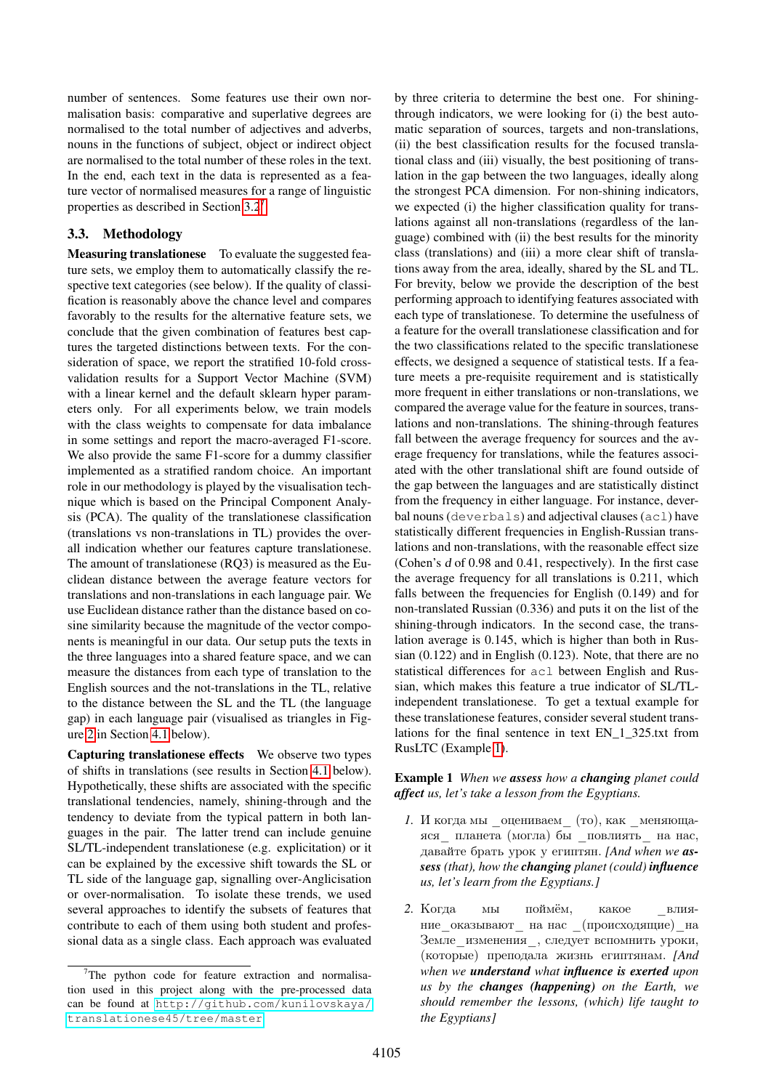number of sentences. Some features use their own normalisation basis: comparative and superlative degrees are normalised to the total number of adjectives and adverbs, nouns in the functions of subject, object or indirect object are normalised to the total number of these roles in the text. In the end, each text in the data is represented as a feature vector of normalised measures for a range of linguistic properties as described in Section [3.2](#page-1-1)[7](#page-3-0)

# <span id="page-3-2"></span>3.3. Methodology

Measuring translationese To evaluate the suggested feature sets, we employ them to automatically classify the respective text categories (see below). If the quality of classification is reasonably above the chance level and compares favorably to the results for the alternative feature sets, we conclude that the given combination of features best captures the targeted distinctions between texts. For the consideration of space, we report the stratified 10-fold crossvalidation results for a Support Vector Machine (SVM) with a linear kernel and the default sklearn hyper parameters only. For all experiments below, we train models with the class weights to compensate for data imbalance in some settings and report the macro-averaged F1-score. We also provide the same F1-score for a dummy classifier implemented as a stratified random choice. An important role in our methodology is played by the visualisation technique which is based on the Principal Component Analysis (PCA). The quality of the translationese classification (translations vs non-translations in TL) provides the overall indication whether our features capture translationese. The amount of translationese (RQ3) is measured as the Euclidean distance between the average feature vectors for translations and non-translations in each language pair. We use Euclidean distance rather than the distance based on cosine similarity because the magnitude of the vector components is meaningful in our data. Our setup puts the texts in the three languages into a shared feature space, and we can measure the distances from each type of translation to the English sources and the not-translations in the TL, relative to the distance between the SL and the TL (the language gap) in each language pair (visualised as triangles in Figure [2](#page-5-0) in Section [4.1](#page-4-0) below).

Capturing translationese effects We observe two types of shifts in translations (see results in Section [4.1](#page-4-0) below). Hypothetically, these shifts are associated with the specific translational tendencies, namely, shining-through and the tendency to deviate from the typical pattern in both languages in the pair. The latter trend can include genuine SL/TL-independent translationese (e.g. explicitation) or it can be explained by the excessive shift towards the SL or TL side of the language gap, signalling over-Anglicisation or over-normalisation. To isolate these trends, we used several approaches to identify the subsets of features that contribute to each of them using both student and professional data as a single class. Each approach was evaluated by three criteria to determine the best one. For shiningthrough indicators, we were looking for (i) the best automatic separation of sources, targets and non-translations, (ii) the best classification results for the focused translational class and (iii) visually, the best positioning of translation in the gap between the two languages, ideally along the strongest PCA dimension. For non-shining indicators, we expected (i) the higher classification quality for translations against all non-translations (regardless of the language) combined with (ii) the best results for the minority class (translations) and (iii) a more clear shift of translations away from the area, ideally, shared by the SL and TL. For brevity, below we provide the description of the best performing approach to identifying features associated with each type of translationese. To determine the usefulness of a feature for the overall translationese classification and for the two classifications related to the specific translationese effects, we designed a sequence of statistical tests. If a feature meets a pre-requisite requirement and is statistically more frequent in either translations or non-translations, we compared the average value for the feature in sources, translations and non-translations. The shining-through features fall between the average frequency for sources and the average frequency for translations, while the features associated with the other translational shift are found outside of the gap between the languages and are statistically distinct from the frequency in either language. For instance, deverbal nouns (deverbals) and adjectival clauses (acl) have statistically different frequencies in English-Russian translations and non-translations, with the reasonable effect size (Cohen's d of 0.98 and 0.41, respectively). In the first case the average frequency for all translations is 0.211, which falls between the frequencies for English (0.149) and for non-translated Russian (0.336) and puts it on the list of the shining-through indicators. In the second case, the translation average is 0.145, which is higher than both in Russian (0.122) and in English (0.123). Note, that there are no statistical differences for acl between English and Russian, which makes this feature a true indicator of SL/TLindependent translationese. To get a textual example for these translationese features, consider several student translations for the final sentence in text EN\_1\_325.txt from RusLTC (Example [1\)](#page-3-1).

#### <span id="page-3-1"></span>Example 1 *When we assess how a changing planet could affect us, let's take a lesson from the Egyptians.*

- *1.* И когда мы \_оцениваем\_ (то), как \_меняющаяся\_ планета (могла) бы \_повлиять\_ на нас, давайте брать урок у египтян. *[And when we assess (that), how the changing planet (could) influence us, let's learn from the Egyptians.]*
- 2. Когда мы поймём, какое влияние\_оказывают\_ на нас \_(происходящие)\_на Земле\_изменения\_, следует вспомнить уроки, (которые) преподала жизнь египтянам. *[And when we understand what influence is exerted upon us by the changes (happening) on the Earth, we should remember the lessons, (which) life taught to the Egyptians]*

<span id="page-3-0"></span> $7$ The python code for feature extraction and normalisation used in this project along with the pre-processed data can be found at [http://github.com/kunilovskaya/](http://github.com/kunilovskaya/translationese45/tree/master) [translationese45/tree/master](http://github.com/kunilovskaya/translationese45/tree/master)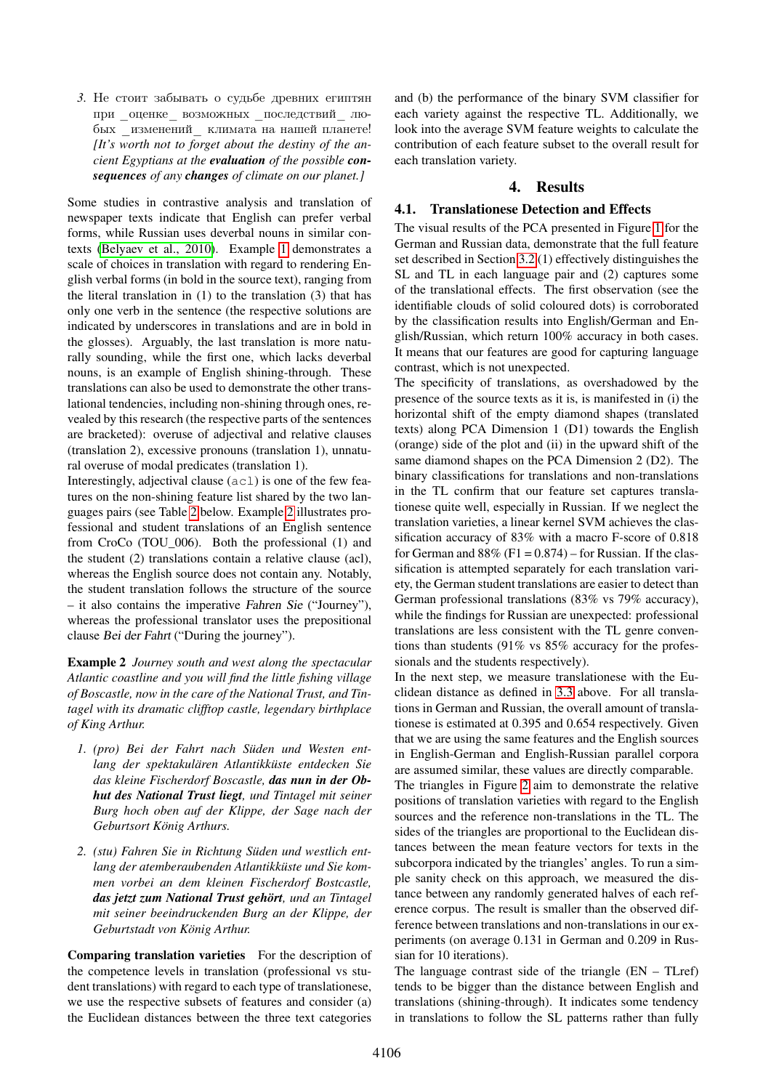*3.* Не стоит забывать о судьбе древних египтян при оценке возможных последствий любых \_изменений\_ климата на нашей планете! *[It's worth not to forget about the destiny of the ancient Egyptians at the evaluation of the possible consequences of any changes of climate on our planet.]*

Some studies in contrastive analysis and translation of newspaper texts indicate that English can prefer verbal forms, while Russian uses deverbal nouns in similar contexts [\(Belyaev et al., 2010\)](#page-8-4). Example [1](#page-3-1) demonstrates a scale of choices in translation with regard to rendering English verbal forms (in bold in the source text), ranging from the literal translation in  $(1)$  to the translation  $(3)$  that has only one verb in the sentence (the respective solutions are indicated by underscores in translations and are in bold in the glosses). Arguably, the last translation is more naturally sounding, while the first one, which lacks deverbal nouns, is an example of English shining-through. These translations can also be used to demonstrate the other translational tendencies, including non-shining through ones, revealed by this research (the respective parts of the sentences are bracketed): overuse of adjectival and relative clauses (translation 2), excessive pronouns (translation 1), unnatural overuse of modal predicates (translation 1).

Interestingly, adjectival clause (acl) is one of the few features on the non-shining feature list shared by the two languages pairs (see Table [2](#page-6-0) below. Example [2](#page-4-1) illustrates professional and student translations of an English sentence from CroCo (TOU\_006). Both the professional (1) and the student (2) translations contain a relative clause (acl), whereas the English source does not contain any. Notably, the student translation follows the structure of the source – it also contains the imperative Fahren Sie ("Journey"), whereas the professional translator uses the prepositional clause Bei der Fahrt ("During the journey").

<span id="page-4-1"></span>Example 2 *Journey south and west along the spectacular Atlantic coastline and you will find the little fishing village of Boscastle, now in the care of the National Trust, and Tintagel with its dramatic clifftop castle, legendary birthplace of King Arthur.*

- *1. (pro) Bei der Fahrt nach Süden und Westen entlang der spektakulären Atlantikküste entdecken Sie das kleine Fischerdorf Boscastle, das nun in der Obhut des National Trust liegt, und Tintagel mit seiner Burg hoch oben auf der Klippe, der Sage nach der Geburtsort König Arthurs.*
- *2. (stu) Fahren Sie in Richtung Süden und westlich entlang der atemberaubenden Atlantikküste und Sie kommen vorbei an dem kleinen Fischerdorf Bostcastle, das jetzt zum National Trust gehört, und an Tintagel mit seiner beeindruckenden Burg an der Klippe, der Geburtstadt von König Arthur.*

Comparing translation varieties For the description of the competence levels in translation (professional vs student translations) with regard to each type of translationese, we use the respective subsets of features and consider (a) the Euclidean distances between the three text categories and (b) the performance of the binary SVM classifier for each variety against the respective TL. Additionally, we look into the average SVM feature weights to calculate the contribution of each feature subset to the overall result for each translation variety.

#### 4. Results

#### <span id="page-4-2"></span><span id="page-4-0"></span>4.1. Translationese Detection and Effects

The visual results of the PCA presented in Figure [1](#page-5-1) for the German and Russian data, demonstrate that the full feature set described in Section [3.2](#page-1-1) (1) effectively distinguishes the SL and TL in each language pair and (2) captures some of the translational effects. The first observation (see the identifiable clouds of solid coloured dots) is corroborated by the classification results into English/German and English/Russian, which return 100% accuracy in both cases. It means that our features are good for capturing language contrast, which is not unexpected.

The specificity of translations, as overshadowed by the presence of the source texts as it is, is manifested in (i) the horizontal shift of the empty diamond shapes (translated texts) along PCA Dimension 1 (D1) towards the English (orange) side of the plot and (ii) in the upward shift of the same diamond shapes on the PCA Dimension 2 (D2). The binary classifications for translations and non-translations in the TL confirm that our feature set captures translationese quite well, especially in Russian. If we neglect the translation varieties, a linear kernel SVM achieves the classification accuracy of 83% with a macro F-score of 0.818 for German and  $88\%$  (F1 = 0.874) – for Russian. If the classification is attempted separately for each translation variety, the German student translations are easier to detect than German professional translations (83% vs 79% accuracy), while the findings for Russian are unexpected: professional translations are less consistent with the TL genre conventions than students (91% vs 85% accuracy for the professionals and the students respectively).

In the next step, we measure translationese with the Euclidean distance as defined in [3.3](#page-3-2) above. For all translations in German and Russian, the overall amount of translationese is estimated at 0.395 and 0.654 respectively. Given that we are using the same features and the English sources in English-German and English-Russian parallel corpora are assumed similar, these values are directly comparable. The triangles in Figure [2](#page-5-0) aim to demonstrate the relative positions of translation varieties with regard to the English sources and the reference non-translations in the TL. The sides of the triangles are proportional to the Euclidean distances between the mean feature vectors for texts in the subcorpora indicated by the triangles' angles. To run a simple sanity check on this approach, we measured the distance between any randomly generated halves of each reference corpus. The result is smaller than the observed difference between translations and non-translations in our experiments (on average 0.131 in German and 0.209 in Russian for 10 iterations).

The language contrast side of the triangle  $(EN - TLref)$ tends to be bigger than the distance between English and translations (shining-through). It indicates some tendency in translations to follow the SL patterns rather than fully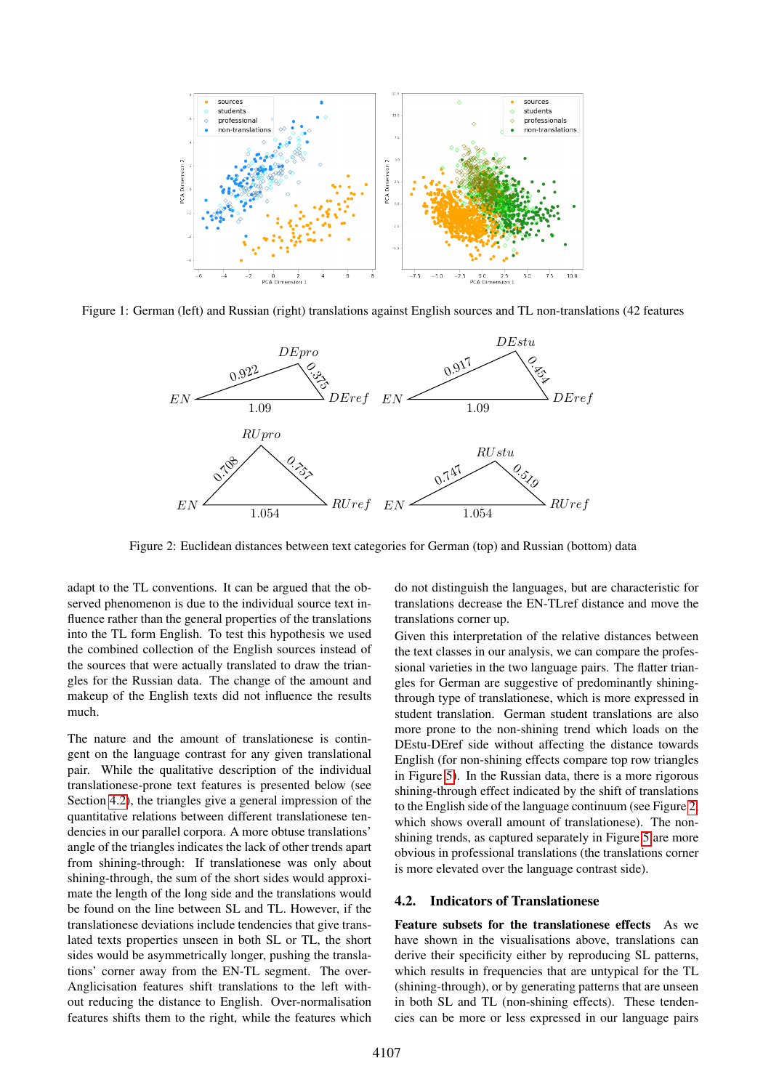

Figure 1: German (left) and Russian (right) translations against English sources and TL non-translations (42 features

<span id="page-5-1"></span>

<span id="page-5-0"></span>Figure 2: Euclidean distances between text categories for German (top) and Russian (bottom) data

adapt to the TL conventions. It can be argued that the observed phenomenon is due to the individual source text influence rather than the general properties of the translations into the TL form English. To test this hypothesis we used the combined collection of the English sources instead of the sources that were actually translated to draw the triangles for the Russian data. The change of the amount and makeup of the English texts did not influence the results much.

The nature and the amount of translationese is contingent on the language contrast for any given translational pair. While the qualitative description of the individual translationese-prone text features is presented below (see Section [4.2\)](#page-5-2), the triangles give a general impression of the quantitative relations between different translationese tendencies in our parallel corpora. A more obtuse translations' angle of the triangles indicates the lack of other trends apart from shining-through: If translationese was only about shining-through, the sum of the short sides would approximate the length of the long side and the translations would be found on the line between SL and TL. However, if the translationese deviations include tendencies that give translated texts properties unseen in both SL or TL, the short sides would be asymmetrically longer, pushing the translations' corner away from the EN-TL segment. The over-Anglicisation features shift translations to the left without reducing the distance to English. Over-normalisation features shifts them to the right, while the features which do not distinguish the languages, but are characteristic for translations decrease the EN-TLref distance and move the translations corner up.

Given this interpretation of the relative distances between the text classes in our analysis, we can compare the professional varieties in the two language pairs. The flatter triangles for German are suggestive of predominantly shiningthrough type of translationese, which is more expressed in student translation. German student translations are also more prone to the non-shining trend which loads on the DEstu-DEref side without affecting the distance towards English (for non-shining effects compare top row triangles in Figure [5\)](#page-8-5). In the Russian data, there is a more rigorous shining-through effect indicated by the shift of translations to the English side of the language continuum (see Figure [2,](#page-5-0) which shows overall amount of translationese). The nonshining trends, as captured separately in Figure [5](#page-8-5) are more obvious in professional translations (the translations corner is more elevated over the language contrast side).

#### <span id="page-5-2"></span>4.2. Indicators of Translationese

Feature subsets for the translationese effects As we have shown in the visualisations above, translations can derive their specificity either by reproducing SL patterns, which results in frequencies that are untypical for the TL (shining-through), or by generating patterns that are unseen in both SL and TL (non-shining effects). These tendencies can be more or less expressed in our language pairs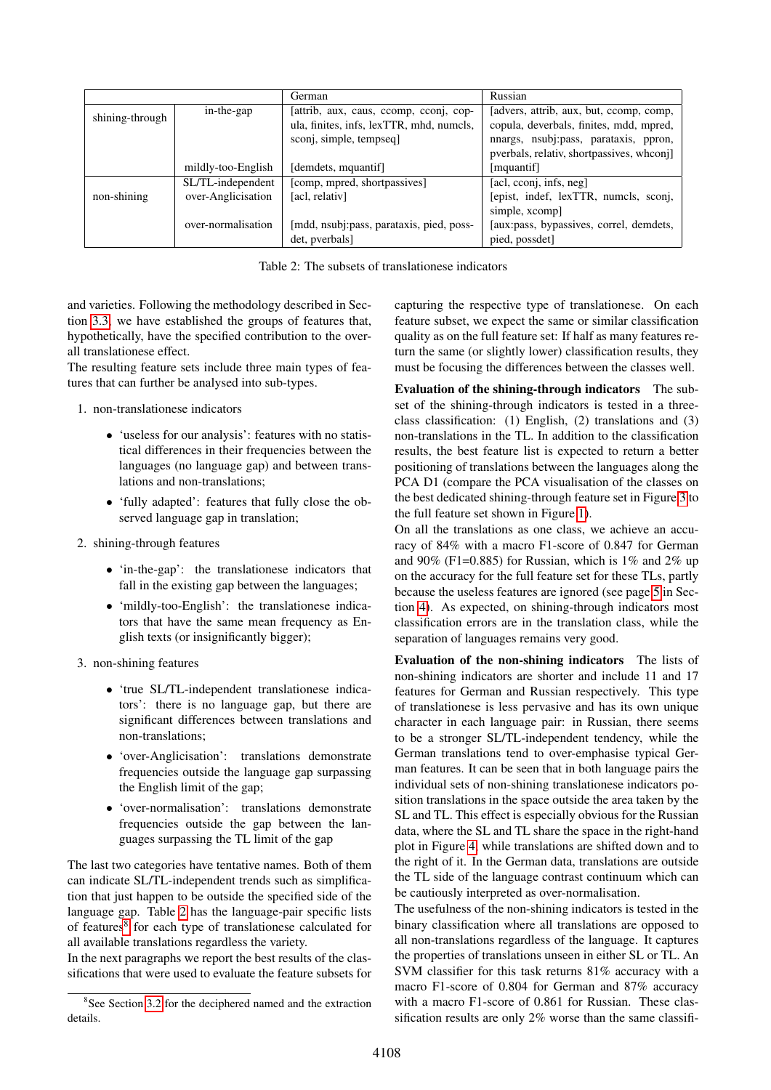|                 |                    | German                                   | Russian                                  |  |  |
|-----------------|--------------------|------------------------------------------|------------------------------------------|--|--|
| shining-through | in-the-gap         | [attrib, aux, caus, ccomp, cconj, cop-   | [advers, attrib, aux, but, ccomp, comp,  |  |  |
|                 |                    | ula, finites, infs, lexTTR, mhd, numcls, | copula, deverbals, finites, mdd, mpred,  |  |  |
|                 |                    | sconj, simple, tempseq                   | nnargs, nsubj:pass, parataxis, ppron,    |  |  |
|                 |                    |                                          | pverbals, relativ, shortpassives, who on |  |  |
|                 | mildly-too-English | [demdets, mquantif]                      | [mquantif]                               |  |  |
|                 | SL/TL-independent  | [comp, mpred, shortpassives]             | [acl, cconj, infs, neg]                  |  |  |
| non-shining     | over-Anglicisation | [acl, relativ]                           | [epist, indef, lexTTR, numcls, sconj,    |  |  |
|                 |                    |                                          | simple, xcomp                            |  |  |
|                 | over-normalisation | [mdd, nsubj:pass, parataxis, pied, poss- | [aux:pass, bypassives, correl, demdets,  |  |  |
|                 |                    | det, pverbals]                           | pied, possdet]                           |  |  |

<span id="page-6-0"></span>Table 2: The subsets of translationese indicators

and varieties. Following the methodology described in Section [3.3,](#page-3-2) we have established the groups of features that, hypothetically, have the specified contribution to the overall translationese effect.

The resulting feature sets include three main types of features that can further be analysed into sub-types.

- 1. non-translationese indicators
	- 'useless for our analysis': features with no statistical differences in their frequencies between the languages (no language gap) and between translations and non-translations;
	- 'fully adapted': features that fully close the observed language gap in translation;
- 2. shining-through features
	- 'in-the-gap': the translationese indicators that fall in the existing gap between the languages;
	- 'mildly-too-English': the translationese indicators that have the same mean frequency as English texts (or insignificantly bigger);
- 3. non-shining features
	- 'true SL/TL-independent translationese indicators': there is no language gap, but there are significant differences between translations and non-translations;
	- 'over-Anglicisation': translations demonstrate frequencies outside the language gap surpassing the English limit of the gap;
	- 'over-normalisation': translations demonstrate frequencies outside the gap between the languages surpassing the TL limit of the gap

The last two categories have tentative names. Both of them can indicate SL/TL-independent trends such as simplification that just happen to be outside the specified side of the language gap. Table [2](#page-6-0) has the language-pair specific lists of features<sup>[8](#page-6-1)</sup> for each type of translationese calculated for all available translations regardless the variety.

In the next paragraphs we report the best results of the classifications that were used to evaluate the feature subsets for capturing the respective type of translationese. On each feature subset, we expect the same or similar classification quality as on the full feature set: If half as many features return the same (or slightly lower) classification results, they must be focusing the differences between the classes well.

Evaluation of the shining-through indicators The subset of the shining-through indicators is tested in a threeclass classification: (1) English, (2) translations and (3) non-translations in the TL. In addition to the classification results, the best feature list is expected to return a better positioning of translations between the languages along the PCA D1 (compare the PCA visualisation of the classes on the best dedicated shining-through feature set in Figure [3](#page-7-0) to the full feature set shown in Figure [1\)](#page-5-1).

On all the translations as one class, we achieve an accuracy of 84% with a macro F1-score of 0.847 for German and 90% (F1=0.885) for Russian, which is  $1\%$  and  $2\%$  up on the accuracy for the full feature set for these TLs, partly because the useless features are ignored (see page [5](#page-5-1) in Section [4\)](#page-4-2). As expected, on shining-through indicators most classification errors are in the translation class, while the separation of languages remains very good.

Evaluation of the non-shining indicators The lists of non-shining indicators are shorter and include 11 and 17 features for German and Russian respectively. This type of translationese is less pervasive and has its own unique character in each language pair: in Russian, there seems to be a stronger SL/TL-independent tendency, while the German translations tend to over-emphasise typical German features. It can be seen that in both language pairs the individual sets of non-shining translationese indicators position translations in the space outside the area taken by the SL and TL. This effect is especially obvious for the Russian data, where the SL and TL share the space in the right-hand plot in Figure [4,](#page-7-1) while translations are shifted down and to the right of it. In the German data, translations are outside the TL side of the language contrast continuum which can be cautiously interpreted as over-normalisation.

The usefulness of the non-shining indicators is tested in the binary classification where all translations are opposed to all non-translations regardless of the language. It captures the properties of translations unseen in either SL or TL. An SVM classifier for this task returns 81% accuracy with a macro F1-score of 0.804 for German and 87% accuracy with a macro F1-score of 0.861 for Russian. These classification results are only 2% worse than the same classifi-

<span id="page-6-1"></span><sup>&</sup>lt;sup>8</sup>See Section [3.2](#page-1-1) for the deciphered named and the extraction details.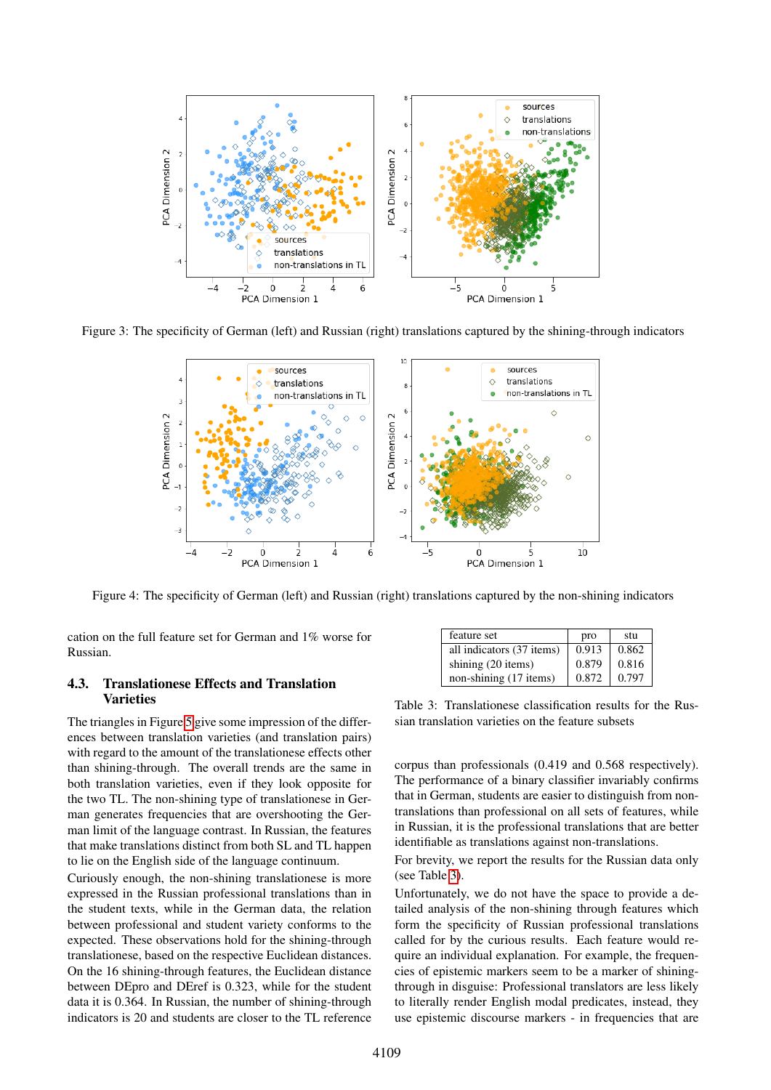

Figure 3: The specificity of German (left) and Russian (right) translations captured by the shining-through indicators

<span id="page-7-0"></span>

<span id="page-7-1"></span>Figure 4: The specificity of German (left) and Russian (right) translations captured by the non-shining indicators

cation on the full feature set for German and 1% worse for Russian.

#### 4.3. Translationese Effects and Translation **Varieties**

The triangles in Figure [5](#page-8-5) give some impression of the differences between translation varieties (and translation pairs) with regard to the amount of the translationese effects other than shining-through. The overall trends are the same in both translation varieties, even if they look opposite for the two TL. The non-shining type of translationese in German generates frequencies that are overshooting the German limit of the language contrast. In Russian, the features that make translations distinct from both SL and TL happen to lie on the English side of the language continuum.

Curiously enough, the non-shining translationese is more expressed in the Russian professional translations than in the student texts, while in the German data, the relation between professional and student variety conforms to the expected. These observations hold for the shining-through translationese, based on the respective Euclidean distances. On the 16 shining-through features, the Euclidean distance between DEpro and DEref is 0.323, while for the student data it is 0.364. In Russian, the number of shining-through indicators is 20 and students are closer to the TL reference

| feature set               | pro   | stu   |
|---------------------------|-------|-------|
| all indicators (37 items) | 0.913 | 0.862 |
| shining (20 items)        | 0.879 | 0.816 |
| non-shining (17 items)    | 0.872 | 0.797 |

<span id="page-7-2"></span>Table 3: Translationese classification results for the Russian translation varieties on the feature subsets

corpus than professionals (0.419 and 0.568 respectively). The performance of a binary classifier invariably confirms that in German, students are easier to distinguish from nontranslations than professional on all sets of features, while in Russian, it is the professional translations that are better identifiable as translations against non-translations.

For brevity, we report the results for the Russian data only (see Table [3\)](#page-7-2).

Unfortunately, we do not have the space to provide a detailed analysis of the non-shining through features which form the specificity of Russian professional translations called for by the curious results. Each feature would require an individual explanation. For example, the frequencies of epistemic markers seem to be a marker of shiningthrough in disguise: Professional translators are less likely to literally render English modal predicates, instead, they use epistemic discourse markers - in frequencies that are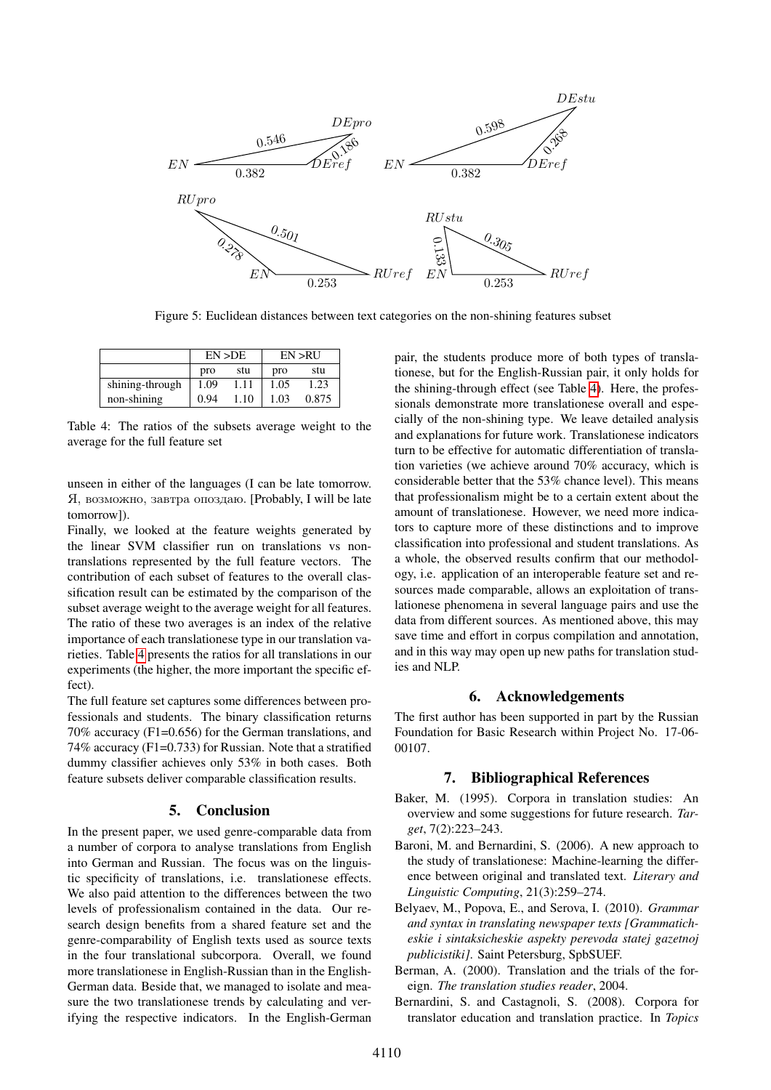

<span id="page-8-5"></span>Figure 5: Euclidean distances between text categories on the non-shining features subset

|                 |      | EN > DE | EN > R U |       |  |
|-----------------|------|---------|----------|-------|--|
|                 | pro  | stu     | pro      | stu   |  |
| shining-through | 1.09 | 1.11    | 1.05     | 1.23  |  |
| non-shining     | 0.94 | 1.10    | 1.03     | 0.875 |  |

<span id="page-8-6"></span>Table 4: The ratios of the subsets average weight to the average for the full feature set

unseen in either of the languages (I can be late tomorrow. Я, возможно, завтра опоздаю. [Probably, I will be late tomorrow]).

Finally, we looked at the feature weights generated by the linear SVM classifier run on translations vs nontranslations represented by the full feature vectors. The contribution of each subset of features to the overall classification result can be estimated by the comparison of the subset average weight to the average weight for all features. The ratio of these two averages is an index of the relative importance of each translationese type in our translation varieties. Table [4](#page-8-6) presents the ratios for all translations in our experiments (the higher, the more important the specific effect).

The full feature set captures some differences between professionals and students. The binary classification returns 70% accuracy (F1=0.656) for the German translations, and 74% accuracy (F1=0.733) for Russian. Note that a stratified dummy classifier achieves only 53% in both cases. Both feature subsets deliver comparable classification results.

#### 5. Conclusion

In the present paper, we used genre-comparable data from a number of corpora to analyse translations from English into German and Russian. The focus was on the linguistic specificity of translations, i.e. translationese effects. We also paid attention to the differences between the two levels of professionalism contained in the data. Our research design benefits from a shared feature set and the genre-comparability of English texts used as source texts in the four translational subcorpora. Overall, we found more translationese in English-Russian than in the English-German data. Beside that, we managed to isolate and measure the two translationese trends by calculating and verifying the respective indicators. In the English-German pair, the students produce more of both types of translationese, but for the English-Russian pair, it only holds for the shining-through effect (see Table [4\)](#page-8-6). Here, the professionals demonstrate more translationese overall and especially of the non-shining type. We leave detailed analysis and explanations for future work. Translationese indicators turn to be effective for automatic differentiation of translation varieties (we achieve around 70% accuracy, which is considerable better that the 53% chance level). This means that professionalism might be to a certain extent about the amount of translationese. However, we need more indicators to capture more of these distinctions and to improve classification into professional and student translations. As a whole, the observed results confirm that our methodology, i.e. application of an interoperable feature set and resources made comparable, allows an exploitation of translationese phenomena in several language pairs and use the data from different sources. As mentioned above, this may save time and effort in corpus compilation and annotation, and in this way may open up new paths for translation studies and NLP.

#### 6. Acknowledgements

The first author has been supported in part by the Russian Foundation for Basic Research within Project No. 17-06- 00107.

#### 7. Bibliographical References

- <span id="page-8-2"></span>Baker, M. (1995). Corpora in translation studies: An overview and some suggestions for future research. *Target*, 7(2):223–243.
- <span id="page-8-1"></span>Baroni, M. and Bernardini, S. (2006). A new approach to the study of translationese: Machine-learning the difference between original and translated text. *Literary and Linguistic Computing*, 21(3):259–274.
- <span id="page-8-4"></span>Belyaev, M., Popova, E., and Serova, I. (2010). *Grammar and syntax in translating newspaper texts [Grammaticheskie i sintaksicheskie aspekty perevoda statej gazetnoj publicistiki]*. Saint Petersburg, SpbSUEF.
- <span id="page-8-3"></span>Berman, A. (2000). Translation and the trials of the foreign. *The translation studies reader*, 2004.
- <span id="page-8-0"></span>Bernardini, S. and Castagnoli, S. (2008). Corpora for translator education and translation practice. In *Topics*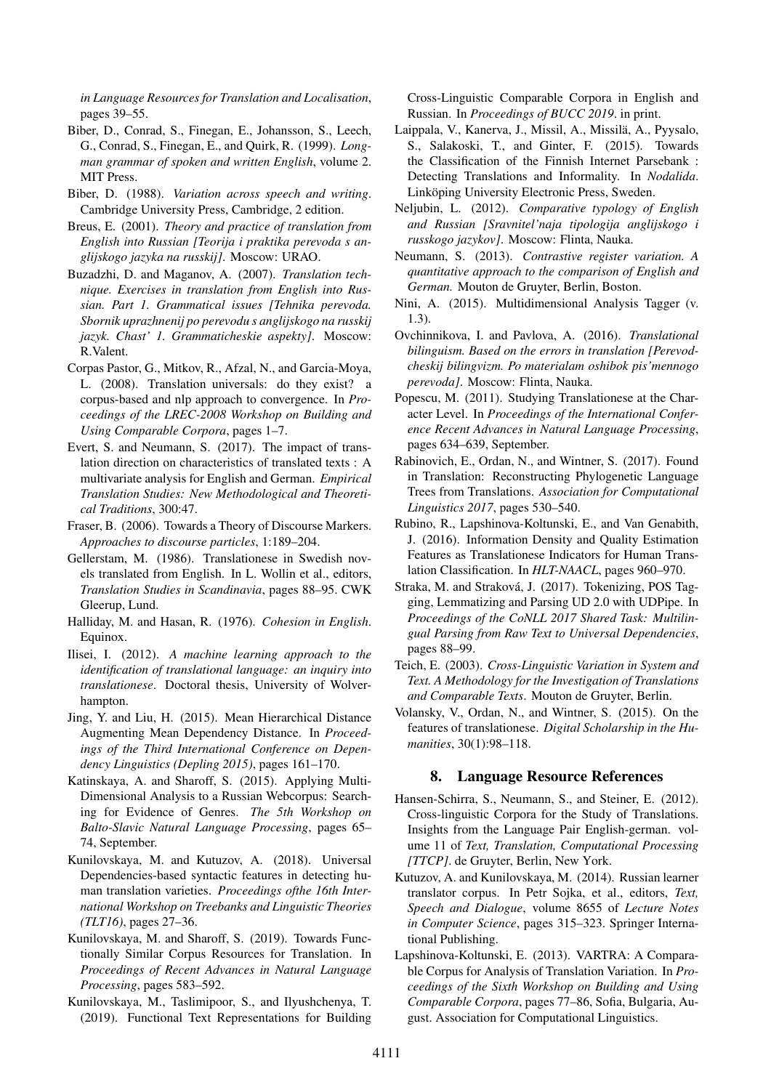*in Language Resources for Translation and Localisation*, pages 39–55.

- <span id="page-9-21"></span>Biber, D., Conrad, S., Finegan, E., Johansson, S., Leech, G., Conrad, S., Finegan, E., and Quirk, R. (1999). *Longman grammar of spoken and written English*, volume 2. MIT Press.
- <span id="page-9-24"></span>Biber, D. (1988). *Variation across speech and writing*. Cambridge University Press, Cambridge, 2 edition.
- <span id="page-9-16"></span>Breus, E. (2001). *Theory and practice of translation from English into Russian [Teorija i praktika perevoda s anglijskogo jazyka na russkij]*. Moscow: URAO.
- <span id="page-9-17"></span>Buzadzhi, D. and Maganov, A. (2007). *Translation technique. Exercises in translation from English into Russian. Part 1. Grammatical issues [Tehnika perevoda. Sbornik uprazhnenij po perevodu s anglijskogo na russkij jazyk. Chast' 1. Grammaticheskie aspekty]*. Moscow: R.Valent.
- <span id="page-9-4"></span>Corpas Pastor, G., Mitkov, R., Afzal, N., and Garcia-Moya, L. (2008). Translation universals: do they exist? a corpus-based and nlp approach to convergence. In *Proceedings of the LREC-2008 Workshop on Building and Using Comparable Corpora*, pages 1–7.
- <span id="page-9-9"></span>Evert, S. and Neumann, S. (2017). The impact of translation direction on characteristics of translated texts : A multivariate analysis for English and German. *Empirical Translation Studies: New Methodological and Theoretical Traditions*, 300:47.
- <span id="page-9-22"></span>Fraser, B. (2006). Towards a Theory of Discourse Markers. *Approaches to discourse particles*, 1:189–204.
- <span id="page-9-1"></span>Gellerstam, M. (1986). Translationese in Swedish novels translated from English. In L. Wollin et al., editors, *Translation Studies in Scandinavia*, pages 88–95. CWK Gleerup, Lund.
- <span id="page-9-20"></span>Halliday, M. and Hasan, R. (1976). *Cohesion in English*. Equinox.
- <span id="page-9-5"></span>Ilisei, I. (2012). *A machine learning approach to the identification of translational language: an inquiry into translationese*. Doctoral thesis, University of Wolverhampton.
- <span id="page-9-19"></span>Jing, Y. and Liu, H. (2015). Mean Hierarchical Distance Augmenting Mean Dependency Distance. In *Proceedings of the Third International Conference on Dependency Linguistics (Depling 2015)*, pages 161–170.
- <span id="page-9-25"></span>Katinskaya, A. and Sharoff, S. (2015). Applying Multi-Dimensional Analysis to a Russian Webcorpus: Searching for Evidence of Genres. *The 5th Workshop on Balto-Slavic Natural Language Processing*, pages 65– 74, September.
- <span id="page-9-15"></span>Kunilovskaya, M. and Kutuzov, A. (2018). Universal Dependencies-based syntactic features in detecting human translation varieties. *Proceedings ofthe 16th International Workshop on Treebanks and Linguistic Theories (TLT16)*, pages 27–36.
- <span id="page-9-11"></span>Kunilovskaya, M. and Sharoff, S. (2019). Towards Functionally Similar Corpus Resources for Translation. In *Proceedings of Recent Advances in Natural Language Processing*, pages 583–592.
- <span id="page-9-12"></span>Kunilovskaya, M., Taslimipoor, S., and Ilyushchenya, T. (2019). Functional Text Representations for Building

Cross-Linguistic Comparable Corpora in English and Russian. In *Proceedings of BUCC 2019*. in print.

- <span id="page-9-6"></span>Laippala, V., Kanerva, J., Missil, A., Missilä, A., Pyysalo, S., Salakoski, T., and Ginter, F. (2015). Towards the Classification of the Finnish Internet Parsebank : Detecting Translations and Informality. In *Nodalida*. Linköping University Electronic Press, Sweden.
- <span id="page-9-14"></span>Neljubin, L. (2012). *Comparative typology of English and Russian [Sravnitel'naja tipologija anglijskogo i russkogo jazykov]*. Moscow: Flinta, Nauka.
- <span id="page-9-10"></span>Neumann, S. (2013). *Contrastive register variation. A quantitative approach to the comparison of English and German.* Mouton de Gruyter, Berlin, Boston.
- <span id="page-9-23"></span>Nini, A. (2015). Multidimensional Analysis Tagger (v. 1.3).
- <span id="page-9-18"></span>Ovchinnikova, I. and Pavlova, A. (2016). *Translational bilinguism. Based on the errors in translation [Perevodcheskij bilingvizm. Po materialam oshibok pis'mennogo perevoda]*. Moscow: Flinta, Nauka.
- <span id="page-9-0"></span>Popescu, M. (2011). Studying Translationese at the Character Level. In *Proceedings of the International Conference Recent Advances in Natural Language Processing*, pages 634–639, September.
- <span id="page-9-8"></span>Rabinovich, E., Ordan, N., and Wintner, S. (2017). Found in Translation: Reconstructing Phylogenetic Language Trees from Translations. *Association for Computational Linguistics 2017*, pages 530–540.
- <span id="page-9-7"></span>Rubino, R., Lapshinova-Koltunski, E., and Van Genabith, J. (2016). Information Density and Quality Estimation Features as Translationese Indicators for Human Translation Classification. In *HLT-NAACL*, pages 960–970.
- <span id="page-9-13"></span>Straka, M. and Straková, J. (2017). Tokenizing, POS Tagging, Lemmatizing and Parsing UD 2.0 with UDPipe. In *Proceedings of the CoNLL 2017 Shared Task: Multilingual Parsing from Raw Text to Universal Dependencies*, pages 88–99.
- <span id="page-9-2"></span>Teich, E. (2003). *Cross-Linguistic Variation in System and Text. A Methodology for the Investigation of Translations and Comparable Texts*. Mouton de Gruyter, Berlin.
- <span id="page-9-3"></span>Volansky, V., Ordan, N., and Wintner, S. (2015). On the features of translationese. *Digital Scholarship in the Humanities*, 30(1):98–118.

#### 8. Language Resource References

- Hansen-Schirra, S., Neumann, S., and Steiner, E. (2012). Cross-linguistic Corpora for the Study of Translations. Insights from the Language Pair English-german. volume 11 of *Text, Translation, Computational Processing [TTCP]*. de Gruyter, Berlin, New York.
- Kutuzov, A. and Kunilovskaya, M. (2014). Russian learner translator corpus. In Petr Sojka, et al., editors, *Text, Speech and Dialogue*, volume 8655 of *Lecture Notes in Computer Science*, pages 315–323. Springer International Publishing.
- Lapshinova-Koltunski, E. (2013). VARTRA: A Comparable Corpus for Analysis of Translation Variation. In *Proceedings of the Sixth Workshop on Building and Using Comparable Corpora*, pages 77–86, Sofia, Bulgaria, August. Association for Computational Linguistics.